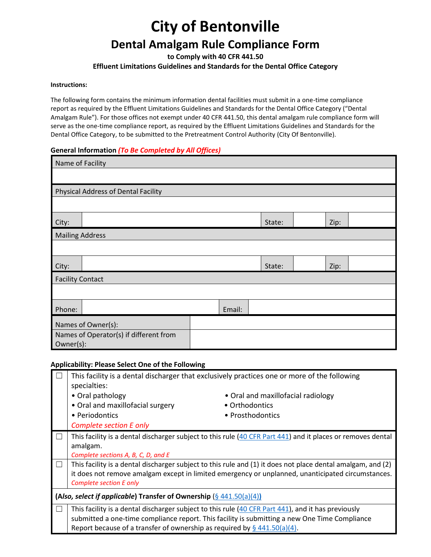# **City of Bentonville**

## **Dental Amalgam Rule Compliance Form**

**to Comply with 40 CFR 441.50**

**Effluent Limitations Guidelines and Standards for the Dental Office Category**

#### **Instructions:**

The following form contains the minimum information dental facilities must submit in a one-time compliance report as required by the Effluent Limitations Guidelines and Standards for the Dental Office Category ("Dental Amalgam Rule"). For those offices not exempt under 40 CFR 441.50, this dental amalgam rule compliance form will serve as the one-time compliance report, as required by the Effluent Limitations Guidelines and Standards for the Dental Office Category, to be submitted to the Pretreatment Control Authority (City Of Bentonville).

#### **General Information** *(To Be Completed by All Offices)*

| Name of Facility       |                                                     |  |  |  |        |  |      |  |
|------------------------|-----------------------------------------------------|--|--|--|--------|--|------|--|
|                        |                                                     |  |  |  |        |  |      |  |
|                        | Physical Address of Dental Facility                 |  |  |  |        |  |      |  |
|                        |                                                     |  |  |  |        |  |      |  |
| City:                  |                                                     |  |  |  | State: |  | Zip: |  |
| <b>Mailing Address</b> |                                                     |  |  |  |        |  |      |  |
|                        |                                                     |  |  |  |        |  |      |  |
| City:                  |                                                     |  |  |  | State: |  | Zip: |  |
|                        | <b>Facility Contact</b>                             |  |  |  |        |  |      |  |
|                        |                                                     |  |  |  |        |  |      |  |
| Phone:                 | Email:                                              |  |  |  |        |  |      |  |
| Names of Owner(s):     |                                                     |  |  |  |        |  |      |  |
|                        | Names of Operator(s) if different from<br>Owner(s): |  |  |  |        |  |      |  |

#### **Applicability: Please Select One of the Following**

|        | This facility is a dental discharger that exclusively practices one or more of the following<br>specialties:                                                                                                                                                                            |                                    |  |  |  |
|--------|-----------------------------------------------------------------------------------------------------------------------------------------------------------------------------------------------------------------------------------------------------------------------------------------|------------------------------------|--|--|--|
|        | • Oral pathology                                                                                                                                                                                                                                                                        | • Oral and maxillofacial radiology |  |  |  |
|        | • Oral and maxillofacial surgery                                                                                                                                                                                                                                                        | • Orthodontics                     |  |  |  |
|        | • Periodontics                                                                                                                                                                                                                                                                          | • Prosthodontics                   |  |  |  |
|        | <b>Complete section E only</b>                                                                                                                                                                                                                                                          |                                    |  |  |  |
|        | This facility is a dental discharger subject to this rule (40 CFR Part 441) and it places or removes dental<br>amalgam.<br>Complete sections A, B, C, D, and E                                                                                                                          |                                    |  |  |  |
| $\Box$ | This facility is a dental discharger subject to this rule and (1) it does not place dental amalgam, and (2)<br>it does not remove amalgam except in limited emergency or unplanned, unanticipated circumstances.<br>Complete section E only                                             |                                    |  |  |  |
|        | (Also, select if applicable) Transfer of Ownership $(\frac{6}{9}441.50(a)(4))$                                                                                                                                                                                                          |                                    |  |  |  |
|        | This facility is a dental discharger subject to this rule $(40$ CFR Part $441$ ), and it has previously<br>submitted a one-time compliance report. This facility is submitting a new One Time Compliance<br>Report because of a transfer of ownership as required by $\S$ 441.50(a)(4). |                                    |  |  |  |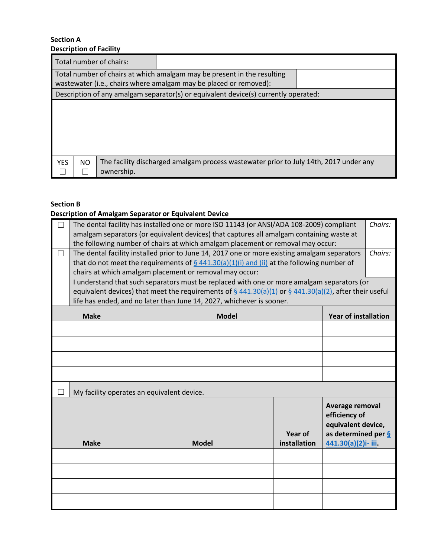#### **Section A Description of Facility**

| Description of Facility |                                                                                                                                              |                                                                                       |  |  |  |  |
|-------------------------|----------------------------------------------------------------------------------------------------------------------------------------------|---------------------------------------------------------------------------------------|--|--|--|--|
| Total number of chairs: |                                                                                                                                              |                                                                                       |  |  |  |  |
|                         | Total number of chairs at which amalgam may be present in the resulting<br>wastewater (i.e., chairs where amalgam may be placed or removed): |                                                                                       |  |  |  |  |
|                         |                                                                                                                                              | Description of any amalgam separator(s) or equivalent device(s) currently operated:   |  |  |  |  |
|                         |                                                                                                                                              |                                                                                       |  |  |  |  |
| NO.<br><b>YES</b>       | ownership.                                                                                                                                   | The facility discharged amalgam process wastewater prior to July 14th, 2017 under any |  |  |  |  |

## **Section B**

## **Description of Amalgam Separator or Equivalent Device**

| П           | The dental facility has installed one or more ISO 11143 (or ANSI/ADA 108-2009) compliant<br>amalgam separators (or equivalent devices) that captures all amalgam containing waste at |                                                                                                              |                                |                                                                                                                  | Chairs: |  |
|-------------|--------------------------------------------------------------------------------------------------------------------------------------------------------------------------------------|--------------------------------------------------------------------------------------------------------------|--------------------------------|------------------------------------------------------------------------------------------------------------------|---------|--|
|             |                                                                                                                                                                                      | the following number of chairs at which amalgam placement or removal may occur:                              |                                |                                                                                                                  |         |  |
| П           |                                                                                                                                                                                      | The dental facility installed prior to June 14, 2017 one or more existing amalgam separators                 |                                |                                                                                                                  | Chairs: |  |
|             |                                                                                                                                                                                      | that do not meet the requirements of $\S$ 441.30(a)(1)(i) and (ii) at the following number of                |                                |                                                                                                                  |         |  |
|             |                                                                                                                                                                                      | chairs at which amalgam placement or removal may occur:                                                      |                                |                                                                                                                  |         |  |
|             |                                                                                                                                                                                      | I understand that such separators must be replaced with one or more amalgam separators (or                   |                                |                                                                                                                  |         |  |
|             |                                                                                                                                                                                      | equivalent devices) that meet the requirements of $\S$ 441.30(a)(1) or $\S$ 441.30(a)(2), after their useful |                                |                                                                                                                  |         |  |
|             |                                                                                                                                                                                      | life has ended, and no later than June 14, 2027, whichever is sooner.                                        |                                |                                                                                                                  |         |  |
|             | <b>Make</b>                                                                                                                                                                          | <b>Model</b>                                                                                                 |                                | <b>Year of installation</b>                                                                                      |         |  |
|             |                                                                                                                                                                                      |                                                                                                              |                                |                                                                                                                  |         |  |
|             |                                                                                                                                                                                      |                                                                                                              |                                |                                                                                                                  |         |  |
|             |                                                                                                                                                                                      |                                                                                                              |                                |                                                                                                                  |         |  |
|             |                                                                                                                                                                                      |                                                                                                              |                                |                                                                                                                  |         |  |
|             |                                                                                                                                                                                      | My facility operates an equivalent device.                                                                   |                                |                                                                                                                  |         |  |
| <b>Make</b> |                                                                                                                                                                                      | <b>Model</b>                                                                                                 | <b>Year of</b><br>installation | Average removal<br>efficiency of<br>equivalent device,<br>as determined per $\frac{6}{9}$<br>441.30(a)(2)i- iii. |         |  |
|             |                                                                                                                                                                                      |                                                                                                              |                                |                                                                                                                  |         |  |
|             |                                                                                                                                                                                      |                                                                                                              |                                |                                                                                                                  |         |  |
|             |                                                                                                                                                                                      |                                                                                                              |                                |                                                                                                                  |         |  |
|             |                                                                                                                                                                                      |                                                                                                              |                                |                                                                                                                  |         |  |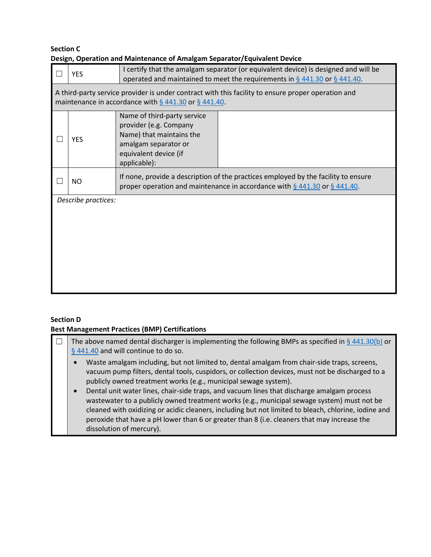## **Section C Design, Operation and Maintenance of Amalgam Separator/Equivalent Device**

|                     | <b>YES</b>                                                                                                                                                       | I certify that the amalgam separator (or equivalent device) is designed and will be<br>operated and maintained to meet the requirements in $\S$ 441.30 or $\S$ 441.40. |  |  |  |  |  |
|---------------------|------------------------------------------------------------------------------------------------------------------------------------------------------------------|------------------------------------------------------------------------------------------------------------------------------------------------------------------------|--|--|--|--|--|
|                     | A third-party service provider is under contract with this facility to ensure proper operation and<br>maintenance in accordance with $\S$ 441.30 or $\S$ 441.40. |                                                                                                                                                                        |  |  |  |  |  |
|                     | <b>YES</b>                                                                                                                                                       | Name of third-party service<br>provider (e.g. Company<br>Name) that maintains the<br>amalgam separator or<br>equivalent device (if<br>applicable):                     |  |  |  |  |  |
|                     | NO.                                                                                                                                                              | If none, provide a description of the practices employed by the facility to ensure<br>proper operation and maintenance in accordance with $\S$ 441.30 or $\S$ 441.40.  |  |  |  |  |  |
| Describe practices: |                                                                                                                                                                  |                                                                                                                                                                        |  |  |  |  |  |

## **Section D**

#### **Best Management Practices (BMP) Certifications**

| The above named dental discharger is implementing the following BMPs as specified in $\frac{6}{9}$ 441.30(b) or<br>§ 441.40 and will continue to do so.                                                                                                                                                                                                                                                                                                                                                                                                                                          |  |  |  |  |
|--------------------------------------------------------------------------------------------------------------------------------------------------------------------------------------------------------------------------------------------------------------------------------------------------------------------------------------------------------------------------------------------------------------------------------------------------------------------------------------------------------------------------------------------------------------------------------------------------|--|--|--|--|
| Waste amalgam including, but not limited to, dental amalgam from chair-side traps, screens,<br>$\bullet$<br>vacuum pump filters, dental tools, cuspidors, or collection devices, must not be discharged to a<br>publicly owned treatment works (e.g., municipal sewage system).<br>Dental unit water lines, chair-side traps, and vacuum lines that discharge amalgam process<br>$\bullet$<br>wastewater to a publicly owned treatment works (e.g., municipal sewage system) must not be<br>cleaned with oxidizing or acidic cleaners, including but not limited to bleach, chlorine, iodine and |  |  |  |  |
| peroxide that have a pH lower than 6 or greater than 8 (i.e. cleaners that may increase the<br>dissolution of mercury).                                                                                                                                                                                                                                                                                                                                                                                                                                                                          |  |  |  |  |